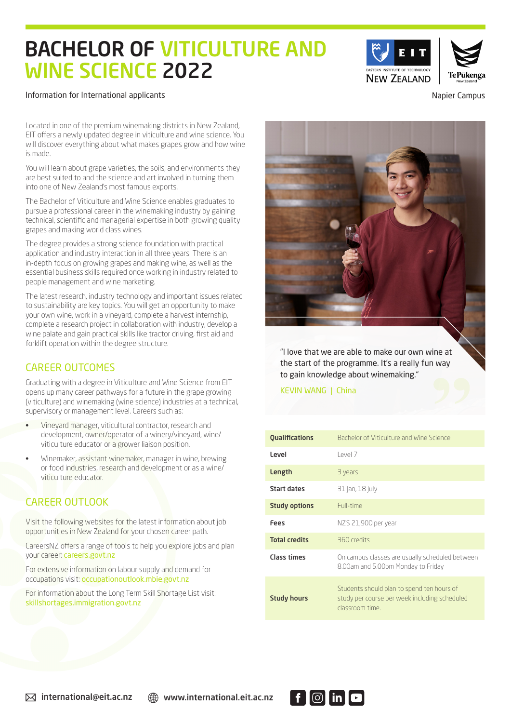# BACHELOR OF VITICULTURE AND WINE SCIENCE 2022



#### Information for International applicants **Napier Campus** Napier Campus

Located in one of the premium winemaking districts in New Zealand, EIT offers a newly updated degree in viticulture and wine science. You will discover everything about what makes grapes grow and how wine is made.

You will learn about grape varieties, the soils, and environments they are best suited to and the science and art involved in turning them into one of New Zealand's most famous exports.

The Bachelor of Viticulture and Wine Science enables graduates to pursue a professional career in the winemaking industry by gaining technical, scientific and managerial expertise in both growing quality grapes and making world class wines.

The degree provides a strong science foundation with practical application and industry interaction in all three years. There is an in-depth focus on growing grapes and making wine, as well as the essential business skills required once working in industry related to people management and wine marketing.

The latest research, industry technology and important issues related to sustainability are key topics. You will get an opportunity to make your own wine, work in a vineyard, complete a harvest internship, complete a research project in collaboration with industry, develop a wine palate and gain practical skills like tractor driving, first aid and forklift operation within the degree structure.

## CAREER OUTCOMES

Graduating with a degree in Viticulture and Wine Science from EIT opens up many career pathways for a future in the grape growing (viticulture) and winemaking (wine science) industries at a technical, supervisory or management level. Careers such as:

- Vineyard manager, viticultural contractor, research and development, owner/operator of a winery/vineyard, wine/ viticulture educator or a grower liaison position.
- Winemaker, assistant winemaker, manager in wine, brewing or food industries, research and development or as a wine/ viticulture educator.

## CAREER OUTLOOK

Visit the following websites for the latest information about job opportunities in New Zealand for your chosen career path.

CareersNZ offers a range of tools to help you explore jobs and plan your career: careers.govt.nz

For extensive information on labour supply and demand for occupations visit: occupationoutlook.mbie.govt.nz

For information about the Long Term Skill Shortage List visit: skillshortages.immigration.govt.nz



"I love that we are able to make our own wine at the start of the programme. It's a really fun way to gain knowledge about winemaking."

KEVIN WANG | China

| <b>Qualifications</b> | Bachelor of Viticulture and Wine Science                                                                       |
|-----------------------|----------------------------------------------------------------------------------------------------------------|
| Level                 | PVP                                                                                                            |
| Length                | 3 years                                                                                                        |
| Start dates           | 31 Jan, 18 July                                                                                                |
| <b>Study options</b>  | Full-time                                                                                                      |
| Fees                  | NZ\$ 21,900 per year                                                                                           |
| <b>Total credits</b>  | 360 credits                                                                                                    |
| <b>Class times</b>    | On campus classes are usually scheduled between<br>8.00am and 5.00pm Monday to Friday                          |
| <b>Study hours</b>    | Students should plan to spend ten hours of<br>study per course per week including scheduled<br>classroom time. |

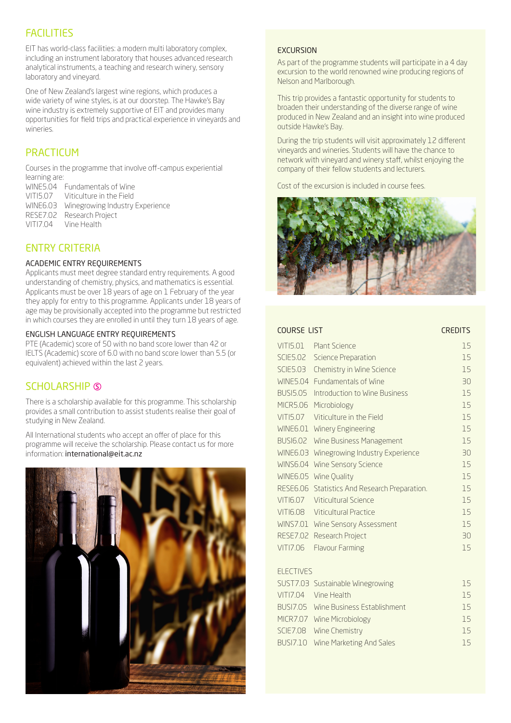## FACILITIES

EIT has world-class facilities: a modern multi laboratory complex, including an instrument laboratory that houses advanced research analytical instruments, a teaching and research winery, sensory laboratory and vineyard.

One of New Zealand's largest wine regions, which produces a wide variety of wine styles, is at our doorstep. The Hawke's Bay wine industry is extremely supportive of EIT and provides many opportunities for field trips and practical experience in vineyards and wineries.

## **PRACTICUM**

Courses in the programme that involve off-campus experiential learning are:

| WINE5.04 Fundamentals of Wine            |
|------------------------------------------|
| VITI5.07 Viticulture in the Field        |
| WINE6.03 Winegrowing Industry Experience |
| RESE7.02 Research Project                |
| VITI7.04 Vine Health                     |

## ENTRY CRITERIA

#### ACADEMIC ENTRY REQUIREMENTS

Applicants must meet degree standard entry requirements. A good understanding of chemistry, physics, and mathematics is essential. Applicants must be over 18 years of age on 1 February of the year they apply for entry to this programme. Applicants under 18 years of age may be provisionally accepted into the programme but restricted in which courses they are enrolled in until they turn 18 years of age.

#### ENGLISH LANGUAGE ENTRY REQUIREMENTS

PTE (Academic) score of 50 with no band score lower than 42 or IELTS (Academic) score of 6.0 with no band score lower than 5.5 (or equivalent) achieved within the last 2 years.

## SCHOLARSHIP S

There is a scholarship available for this programme. This scholarship provides a small contribution to assist students realise their goal of studying in New Zealand.

All International students who accept an offer of place for this programme will receive the scholarship. Please contact us for more information: international@eit.ac.nz



#### **EXCURSION**

As part of the programme students will participate in a 4 day excursion to the world renowned wine producing regions of Nelson and Marlborough.

This trip provides a fantastic opportunity for students to broaden their understanding of the diverse range of wine produced in New Zealand and an insight into wine produced outside Hawke's Bay.

During the trip students will visit approximately 12 different vineyards and wineries. Students will have the chance to network with vineyard and winery staff, whilst enjoying the company of their fellow students and lecturers.

Cost of the excursion is included in course fees.



| COURSE LIST      |                                                          | <b>CREDITS</b> |
|------------------|----------------------------------------------------------|----------------|
| VITI5.01         | Plant Science                                            | 15             |
| <b>SCIE5.02</b>  | <b>Science Preparation</b>                               | 15             |
| <b>SCIE5.03</b>  | Chemistry in Wine Science                                | 15             |
| <b>WINE5.04</b>  | <b>Fundamentals of Wine</b>                              | 30             |
| <b>BUSI5.05</b>  | Introduction to Wine Business                            | 15             |
| <b>MICR5.06</b>  | Microbiology                                             | 15             |
| VITI5.07         | Viticulture in the Field                                 | 15             |
| <b>WINE6.01</b>  | Winery Engineering                                       | 15             |
| <b>BUSI6.02</b>  | Wine Business Management                                 | 15             |
| <b>WINE6.03</b>  | Winegrowing Industry Experience                          | 30             |
| <b>WINS6.04</b>  | Wine Sensory Science                                     | 15             |
|                  | WINE6.05 Wine Quality                                    | 15             |
|                  | RESE6.06 Statistics And Research Preparation.            | 15             |
| VITI6.07         | <b>Viticultural Science</b>                              | 15             |
| VITI6.08         | <b>Viticultural Practice</b>                             | 15             |
|                  | WINS7.01 Wine Sensory Assessment                         | 15             |
|                  | RESE7.02 Research Project                                | 30             |
| VITI7.06         | <b>Flavour Farming</b>                                   | 15             |
| <b>ELECTIVES</b> |                                                          |                |
|                  |                                                          |                |
|                  | SUST7.03 Sustainable Winegrowing<br>VITI7.04 Vine Health | 15<br>15       |
|                  |                                                          |                |
|                  | BUSI7.05 Wine Business Establishment                     | 15             |
|                  | MICR7.07 Wine Microbiology                               | 15             |
|                  | SCIE7.08 Wine Chemistry                                  | 15             |
| <b>BUSI7.10</b>  | Wine Marketing And Sales                                 | 15             |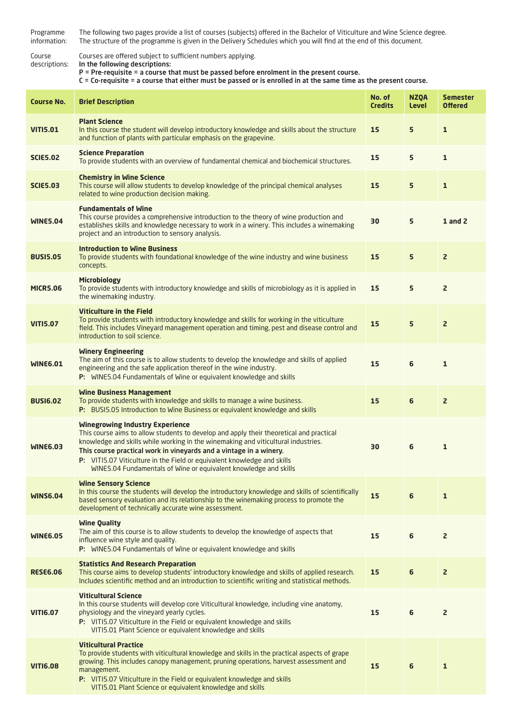| Programme<br>information: | The following two pages provide a list of courses (subjects) offered in the Bachelor of Viticulture and Wine Science degree.<br>The structure of the programme is given in the Delivery Schedules which you will find at the end of this document.                                                                                                                                                                                          |                          |                             |                                   |
|---------------------------|---------------------------------------------------------------------------------------------------------------------------------------------------------------------------------------------------------------------------------------------------------------------------------------------------------------------------------------------------------------------------------------------------------------------------------------------|--------------------------|-----------------------------|-----------------------------------|
| Course<br>descriptions:   | Courses are offered subject to sufficient numbers applying.<br>In the following descriptions:<br>P = Pre-requisite = a course that must be passed before enrolment in the present course.<br>C = Co-requisite = a course that either must be passed or is enrolled in at the same time as the present course.                                                                                                                               |                          |                             |                                   |
| <b>Course No.</b>         | <b>Brief Description</b>                                                                                                                                                                                                                                                                                                                                                                                                                    | No. of<br><b>Credits</b> | <b>NZQA</b><br><b>Level</b> | <b>Semester</b><br><b>Offered</b> |
| <b>VITI5.01</b>           | <b>Plant Science</b><br>In this course the student will develop introductory knowledge and skills about the structure<br>and function of plants with particular emphasis on the grapevine.                                                                                                                                                                                                                                                  | 15                       | 5                           | $\mathbf{1}$                      |
| <b>SCIE5.02</b>           | <b>Science Preparation</b><br>To provide students with an overview of fundamental chemical and biochemical structures.                                                                                                                                                                                                                                                                                                                      | 15                       | 5                           | $\mathbf{1}$                      |
| <b>SCIE5.03</b>           | <b>Chemistry in Wine Science</b><br>This course will allow students to develop knowledge of the principal chemical analyses<br>related to wine production decision making.                                                                                                                                                                                                                                                                  | 15                       | 5                           | $\mathbf{1}$                      |
| <b>WINE5.04</b>           | <b>Fundamentals of Wine</b><br>This course provides a comprehensive introduction to the theory of wine production and<br>establishes skills and knowledge necessary to work in a winery. This includes a winemaking<br>project and an introduction to sensory analysis.                                                                                                                                                                     | 30                       | 5                           | 1 and $2$                         |
| <b>BUSI5.05</b>           | <b>Introduction to Wine Business</b><br>To provide students with foundational knowledge of the wine industry and wine business<br>concepts.                                                                                                                                                                                                                                                                                                 | 15                       | 5                           | $\overline{2}$                    |
| <b>MICR5.06</b>           | <b>Microbiology</b><br>To provide students with introductory knowledge and skills of microbiology as it is applied in<br>the winemaking industry.                                                                                                                                                                                                                                                                                           | 15                       | 5                           | $\overline{2}$                    |
| <b>VITI5.07</b>           | <b>Viticulture in the Field</b><br>To provide students with introductory knowledge and skills for working in the viticulture<br>field. This includes Vineyard management operation and timing, pest and disease control and<br>introduction to soil science.                                                                                                                                                                                | 15                       | 5                           | $\overline{2}$                    |
| <b>WINE6.01</b>           | <b>Winery Engineering</b><br>The aim of this course is to allow students to develop the knowledge and skills of applied<br>engineering and the safe application thereof in the wine industry.<br>P: WINE5.04 Fundamentals of Wine or equivalent knowledge and skills                                                                                                                                                                        | 15                       | 6                           | $\mathbf{1}$                      |
| <b>BUSI6.02</b>           | <b>Wine Business Management</b><br>To provide students with knowledge and skills to manage a wine business.<br>P: BUSI5.05 Introduction to Wine Business or equivalent knowledge and skills                                                                                                                                                                                                                                                 | 15                       | 6                           | $\overline{2}$                    |
| <b>WINE6.03</b>           | <b>Winegrowing Industry Experience</b><br>This course aims to allow students to develop and apply their theoretical and practical<br>knowledge and skills while working in the winemaking and viticultural industries.<br>This course practical work in vineyards and a vintage in a winery.<br>P: VITI5.07 Viticulture in the Field or equivalent knowledge and skills<br>WINE5.04 Fundamentals of Wine or equivalent knowledge and skills | 30                       | 6                           | $\mathbf{1}$                      |
| <b>WINS6.04</b>           | <b>Wine Sensory Science</b><br>In this course the students will develop the introductory knowledge and skills of scientifically<br>based sensory evaluation and its relationship to the winemaking process to promote the<br>development of technically accurate wine assessment.                                                                                                                                                           | 15                       | 6                           | $\mathbf{1}$                      |
| <b>WINE6.05</b>           | <b>Wine Quality</b><br>The aim of this course is to allow students to develop the knowledge of aspects that<br>influence wine style and quality.<br>P: WINE5.04 Fundamentals of Wine or equivalent knowledge and skills                                                                                                                                                                                                                     | 15                       | 6                           | $\overline{2}$                    |
| <b>RESE6.06</b>           | <b>Statistics And Research Preparation</b><br>This course aims to develop students' introductory knowledge and skills of applied research.<br>Includes scientific method and an introduction to scientific writing and statistical methods.                                                                                                                                                                                                 | 15                       | 6                           | $\overline{2}$                    |
| <b>VITI6.07</b>           | <b>Viticultural Science</b><br>In this course students will develop core Viticultural knowledge, including vine anatomy,<br>physiology and the vineyard yearly cycles.<br>P: VITI5.07 Viticulture in the Field or equivalent knowledge and skills<br>VITI5.01 Plant Science or equivalent knowledge and skills                                                                                                                              | 15                       | 6                           | $\overline{2}$                    |
| <b>VITI6.08</b>           | <b>Viticultural Practice</b><br>To provide students with viticultural knowledge and skills in the practical aspects of grape<br>growing. This includes canopy management, pruning operations, harvest assessment and<br>management.<br><b>P:</b> VITI5.07 Viticulture in the Field or equivalent knowledge and skills<br>VITI5.01 Plant Science or equivalent knowledge and skills                                                          | 15                       | 6                           | $\mathbf{1}$                      |